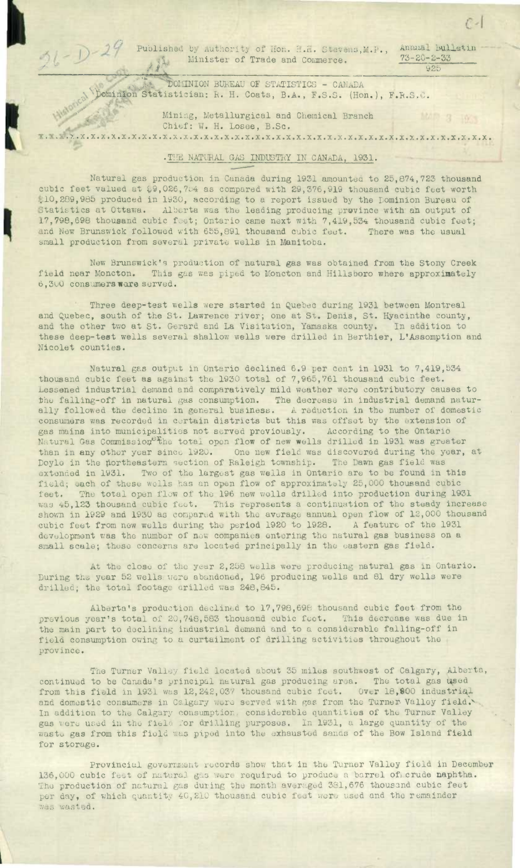Published by Authority of Hon. H.R. Stavens, M.P., Minister of Trade and Commerce.  $25 - 12$ 

Annual Bulletin  $73 - 20 - 2 - 33$ 925

 $C-1$ 

DOMINION BUREAU OF STATISTICS - CANADA Deminion Statistician: R. H. Coats, B.A., F.S.S. (Hon.), F.R.S.C.

Mining, Metallurgical and Chemical Branch  $MD-3$  $-160.7$ Chief: W. H. Losee, B.Sc. 

## . THE NATURAL GAS INDUSTRY IN CANADA, 1931.

Natural gas production in Canada during 1931 amounted to 25,874,723 thousand cubic feet valued at \$9,026,784 as compared with 29,376,919 thousand cubic feet worth .10,289,985 produced in 1930, according to a report issued by the Dominion Bureau of Statistics at Ottawa. Alberta was the leading producing province with an output of 17,798,698 thousand cubic fost; Ontario came next with 7,419,534 thousand cubic feet; and New Brunswick followed with 655,891 thousand cubic feet. There was the usual small production from several private wells in Manitoba.

New Brunswick's production of natural gas was obtained from the Stony Creek field near Moncton. This gas was piped to Moncton and Hillsboro where approximately 6,300 consumers ware served.

Three deep-test wells were started in Quebec during 1931 between Montreal and Quebec, south of the St. Lawrence river; one at St. Denis, St. Hyacinthe county, and the other two at St. Gerard and La Visitation, Yamaska county. In addition to these deep-test wells several shallow wells were drilled in Berthier, L'Assomption and Nicolet counties.

Natural gas output in Ontario declined 6.9 per cent in 1931 to 7.419.534 thousand cubic feet as against the 1930 total of 7,965,761 thousand cubic feet. Lessened industrial demand and comparatively mild weather were contributory causes to the falling-off in natural gas consumption. The decrease in industrial demand naturally followed the decline in general business. A reduction in the number of domestic consumers was recorded in certain districts but this was offset by the extension of gas mains into municipalities not served previously. According to the Ontario Natural Gas Commission<sup>er</sup>the total open flow of new wells drilled in 1931 was greater than in any other year since 1920. One new field was discovered during the year, at Doyle in the portheastern section of Raleigh township. The Dawn gas field was extended in 1931. Two of the largest gas wells in Ontario are to be found in this field; each of these wells has an open flow of approximately 25,000 thousand cubic The total open flow of the 196 new wells drilled into production during 1931 feet. was 45,123 thousand cubic feet. This represents a continuation of the steady increase shown in 1929 and 1930 as compared with the average annual open flow of 12,000 thousand cubic feet from new wells during the period 1920 to 1928. A feature of the 1931 development was the number of new companies entering the natural gas business on a small scale; these concerns are located principally in the eastern gas field.

At the close of the year 2,258 wells were producing natural gas in Ontario. During the year 52 wells were abandoned, 196 producing wells and 81 dry wells were drilled; the total footage drilled was 248,845.

Alberta's production declined to 17,798,698 thousand cubic feet from the previous year's total of 20,748,583 thousand cubic feet. This decrease was due in the main part to declining industrial demand and to a considerable falling-off in field consumption owing to a curtailment of drilling activities throughout the province.

The Turner Valley field located about 35 miles southwest of Calgary, Alberta, continued to be Canada's principal natural gas producing area. The total gas used from this field in 1931 was 12, 242, 037 thousand cubic feet. Over 18,000 industrial and domestic consumers in Calgary were served with gas from the Turner Valley field. In addition to the Calgary consumption, considerable quantities of the Turner Valley gas were used in the field for drilling purposes. In 1931, a large quantity of the waste gas from this field was piped into the exhausted sands of the Bow Island field for storage.

Provincial government records show that in the Turner Valley field in December 136,000 cubic feet of natural gas were required to produce a barrel of crude naphtha. The production of natural gas during the month averaged 381,676 thousand cubic feet per day, of which quantity 40,210 thousand cubic feet were used and the remainder was wasted.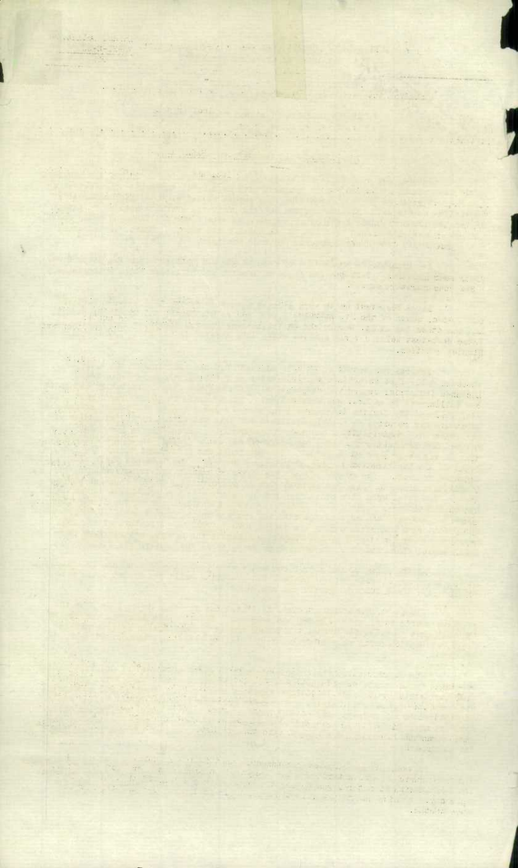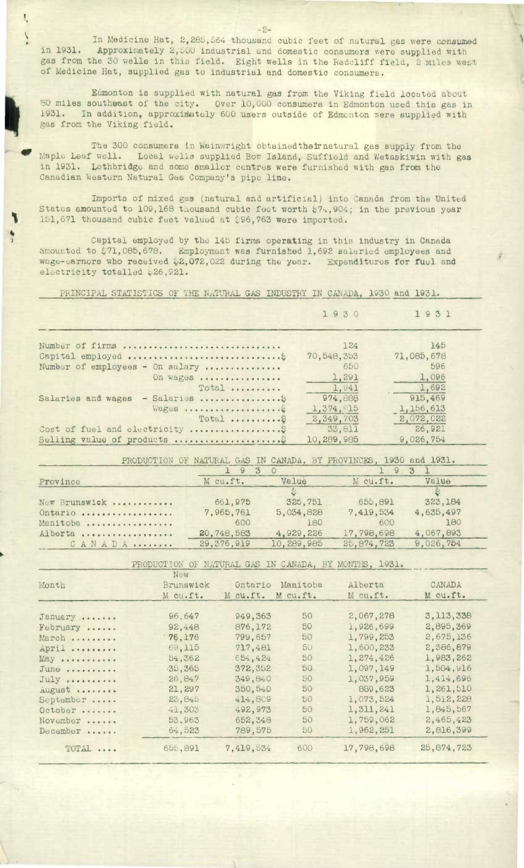In Medicine Hat, 2,285,564 thousand cubic feet of natural gas were consumed in 1931. Approximately 2,500 industrial and domestic consumers were supplied with gas from the 30 wells in this field. Eight wells in the Redeliff field, 2 miles west of Medicine Hat, supplied gas to industrial and domestic consumers.

Edmonton is supplied with natural gas from the Viking field located about 30 miles southeast of the city. Over 10,000 consumers in Edmonton used this gas in 1931. In addition, approximately 600 users outside of Edmonton were supplied with gas from the Viking field.

The 300 consumers in Wainwright obtained the tratural gas supply from the Maple Leaf well. Local wells supplied Bow Island, Suffield and Wetaskiwin with gas in 1931. Lothbridge and some smaller centres were furnished with gas from the Canadian Western Natural Gas Company's pipe line.

Imports of mixed gas (natural and artificial) into Canada from the United States amounted to 109,168 thousand cubic feet worth  $74,904$ ; in the previous year 151,671 thousand cubic feet valued at \$96,763 were imported.

Capital employed by the 145 firms operating in this industry in Canada amounted to \$71,085,678. Employment was furnished 1,692 salaried employees and wage-earners who received  $2,072,022$  during the year. Expenditures for fuel and electricity totalled \$26,921.

PRINCIPAL STATISTICS OF THE NATURAL GAS INDUSTRY IN CANADA, 1930 and 1931.

1930 1931

| Number of firms                 | 124          | 145        |
|---------------------------------|--------------|------------|
|                                 | 70, 548, 353 | 71,085,678 |
| Number of employees - On salary | 650          | 596        |
| On wages                        | 1,291        | 1,096      |
| Total                           | 1,941        | 1,692      |
| Salaries and wages              | 974,888      | 915,469    |
| Wages                           | 1,374,815    | 1,156,613  |
| Total                           | 2,349,703    | 2,072,022  |
| Cost of fuel and electricity    | 33,811       | 26,921     |
|                                 | 10,289,985   | 9,026,754  |

|               |              |            | PRODUCTION OF NATURAL GAS IN CANADA, BY PROVINCES, 1930 and 1931. |           |  |
|---------------|--------------|------------|-------------------------------------------------------------------|-----------|--|
|               |              |            | $9 \, 3$                                                          |           |  |
| Province      | M cu.ft.     | Value      | M cu.ft.                                                          | Value     |  |
|               |              |            |                                                                   |           |  |
| New Brunswick | 661,975      | 325,751    | 655,891                                                           | 323, 184  |  |
| Ontario       | 7,965,761    | 5,034,828  | 7,419,534                                                         | 4,635,497 |  |
| Manitoba      | 600          | 180        | 600                                                               | 180       |  |
| Alberta       | 20,748,583   | 4,929,226  | 17,798,698                                                        | 4,067,893 |  |
| $C$ A N A D A | 29, 376, 919 | 10,289,985 | 25,874,723                                                        | 9,026,754 |  |
|               |              |            |                                                                   |           |  |

| PRODUCTION OF NATURAL GAS IN CANADA, BY MONTHS, 1931. |            |                   |                 |            |             |  |  |
|-------------------------------------------------------|------------|-------------------|-----------------|------------|-------------|--|--|
|                                                       | <b>NEW</b> |                   |                 |            |             |  |  |
| Month                                                 | Brunswick  | Ontario Manitoba  |                 | Alberta    | CANADA      |  |  |
|                                                       | M cu.ft.   | M cu.ft. M cu.ft. |                 | M cu.ft.   | M cu.ft.    |  |  |
| January                                               | 96,647     | 949,363           | 50              | 2,067,278  | 3, 113, 338 |  |  |
| February                                              | 92,448     | 876,172           | 50              | 1,926,699  | 2,895,369   |  |  |
| March                                                 | 76,176     | 799,657           | 50              | 1,799,253  | 2,675,136   |  |  |
| April                                                 | 69,115     | 717,481           | 50              | 1,600,233  | 2,386,879   |  |  |
| May                                                   | 54,362     | 654,424           | 50              | 1,274,426  | 1,983,262   |  |  |
| June                                                  | $-35,365$  | 372,352           | 50              | 1,097,149  | 1,504,916   |  |  |
| $July - \dots - \dots$                                | 26, 847    | 349,840           | 50              | 1,037,959  | 1,414,696   |  |  |
| August                                                | 21,297     | 350, 540          | 50              | 889,623    | 1,261,510   |  |  |
| September                                             | 23,845     | 414,809           | 50 <sup>°</sup> | 1,073,524  | 1,512,228   |  |  |
| October                                               | 41,303     | 492,973           | 50              | 1,311,241  | 1,845,567   |  |  |
| November                                              | 53,963     | 652,348           | 50              | 1,759,062  | 2,465,423   |  |  |
| December                                              | 64,523     | 789,575           | 50              | 1,962,251  | 2,816,399   |  |  |
| TOTAL                                                 | 655,891    | 7,419,534         | 600             | 17,798,698 | 25,874,723  |  |  |

**I**